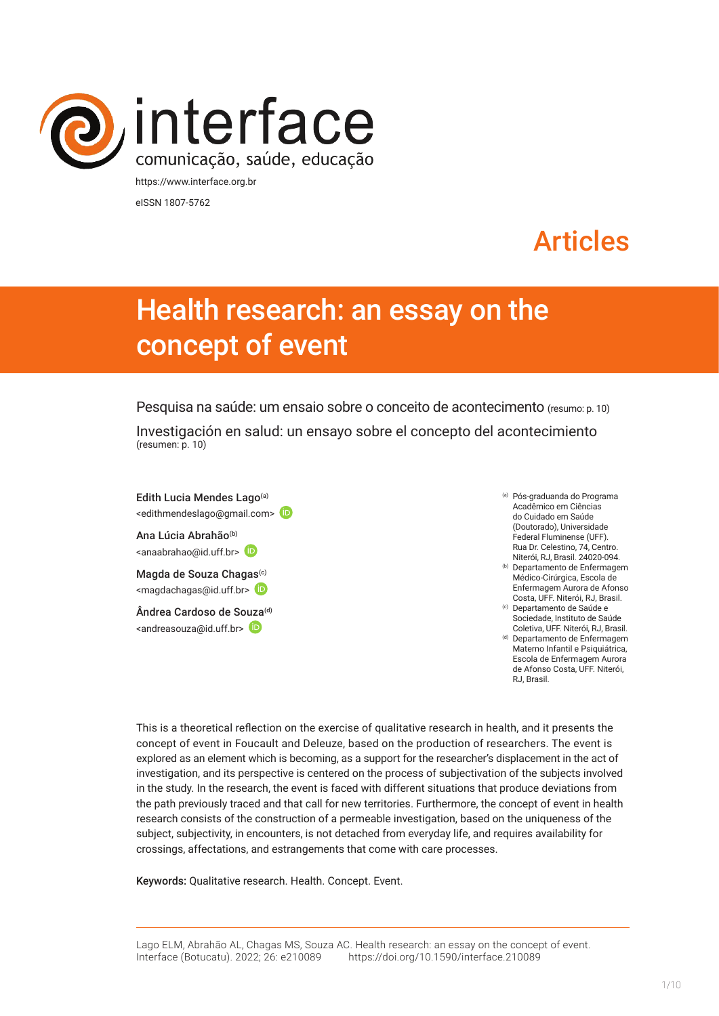

eISSN 1807-5762

# Articles

# Health research: an essay on the concept of event

Pesquisa na saúde: um ensaio sobre o conceito de acontecimento (resumo: p. 10) Investigación en salud: un ensayo sobre el concepto del acontecimiento (resumen: p. 10)

Edith Lucia Mendes Lago<sup>(a)</sup> <edithmendeslago@gmail.com>

Ana Lúcia Abrahão<sup>(b)</sup> <anaabrahao@id.uff.br>

Magda de Souza Chagas<sup>(c)</sup> <[magdachagas@id.uff.br>](mailto:magdachagas@id.uff.br)

Ândrea Cardoso de S[ouza](https://orcid.org/0000-0002-6549-8634)(d) <[andreasouza@id.uff.br>](mailto:andreasouza@id.uff.br)

(a) Pós-graduanda do Programa Acadêmico em Ciências do Cuidado em Saúde (Doutorado), Universidade Federal Fluminense (UFF). Rua Dr. Celestino, 74, Centro. Niterói, RJ, Brasil. 24020-094. (b) Departamento de Enfermagem

- Médico-Cirúrgica, Escola de Enfermagem Aurora de Afonso Costa, UFF. Niterói, RJ, Brasil. (c) Departamento de Saúde e
- Sociedade, Instituto de Saúde Coletiva, UFF. Niterói, RJ, Brasil.
- (d) Departamento de Enfermagem Materno Infantil e Psiquiátrica, Escola de Enfermagem Aurora de Afonso Costa, UFF. Niterói, R.I. Brasil.

This is a theoretical reflection on the exercise of qualitative research in health, and it presents the concept of event in Foucault and Deleuze, based on the production of researchers. The event is explored as an element which is becoming, as a support for the researcher's displacement in the act of investigation, and its perspective is centered on the process of subjectivation of the subjects involved in the study. In the research, the event is faced with different situations that produce deviations from the path previously traced and that call for new territories. Furthermore, the concept of event in health research consists of the construction of a permeable investigation, based on the uniqueness of the subject, subjectivity, in encounters, is not detached from everyday life, and requires availability for crossings, affectations, and estrangements that come with care processes.

Keywords: Qualitative research. Health. Concept. Event.

Lago ELM, Abrahão AL, Chagas MS, Souza AC. Health research: an essay on the concept of event. Interface (Botucatu). 2022; 26: e210089 [https://d](https://10.11606/S1518-787.201805200XXXX)oi.org/10.1590/interface.210089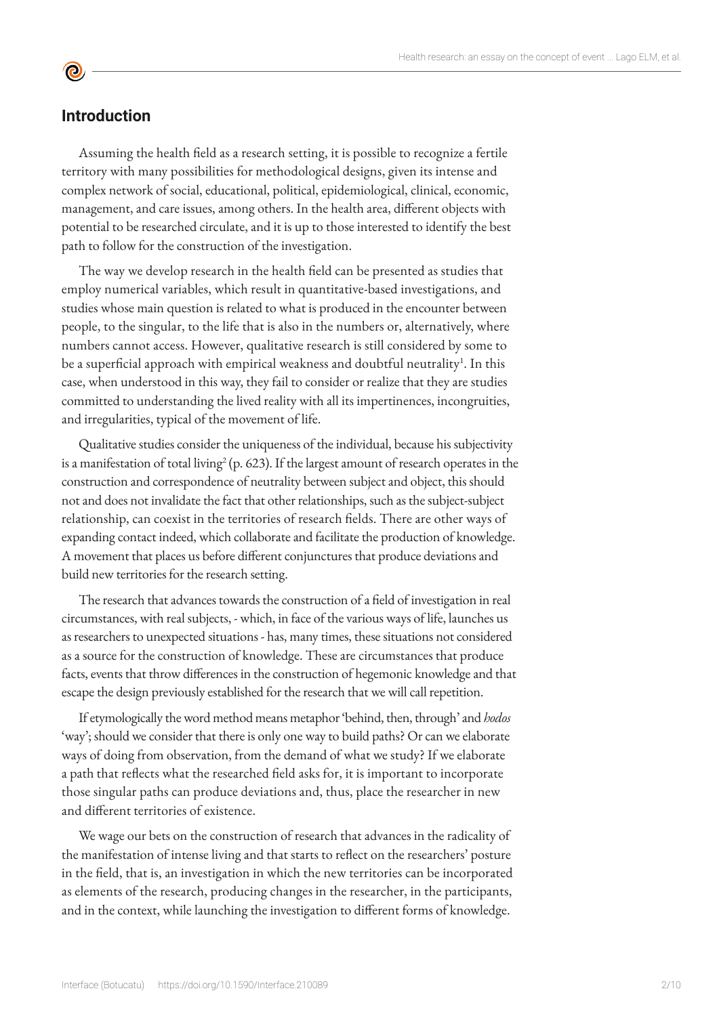## **Introduction**

<u>ල</u>

Assuming the health field as a research setting, it is possible to recognize a fertile territory with many possibilities for methodological designs, given its intense and complex network of social, educational, political, epidemiological, clinical, economic, management, and care issues, among others. In the health area, different objects with potential to be researched circulate, and it is up to those interested to identify the best path to follow for the construction of the investigation.

The way we develop research in the health field can be presented as studies that employ numerical variables, which result in quantitative-based investigations, and studies whose main question is related to what is produced in the encounter between people, to the singular, to the life that is also in the numbers or, alternatively, where numbers cannot access. However, qualitative research is still considered by some to be a superficial approach with empirical weakness and doubtful neutrality<sup>1</sup>. In this case, when understood in this way, they fail to consider or realize that they are studies committed to understanding the lived reality with all its impertinences, incongruities, and irregularities, typical of the movement of life.

Qualitative studies consider the uniqueness of the individual, because his subjectivity is a manifestation of total living<sup>2</sup> (p. 623). If the largest amount of research operates in the construction and correspondence of neutrality between subject and object, this should not and does not invalidate the fact that other relationships, such as the subject-subject relationship, can coexist in the territories of research fields. There are other ways of expanding contact indeed, which collaborate and facilitate the production of knowledge. A movement that places us before different conjunctures that produce deviations and build new territories for the research setting.

The research that advances towards the construction of a field of investigation in real circumstances, with real subjects, - which, in face of the various ways of life, launches us as researchers to unexpected situations - has, many times, these situations not considered as a source for the construction of knowledge. These are circumstances that produce facts, events that throw differences in the construction of hegemonic knowledge and that escape the design previously established for the research that we will call repetition.

If etymologically the word method means metaphor 'behind, then, through' and *hodos* 'way'; should we consider that there is only one way to build paths? Or can we elaborate ways of doing from observation, from the demand of what we study? If we elaborate a path that reflects what the researched field asks for, it is important to incorporate those singular paths can produce deviations and, thus, place the researcher in new and different territories of existence.

We wage our bets on the construction of research that advances in the radicality of the manifestation of intense living and that starts to reflect on the researchers' posture in the field, that is, an investigation in which the new territories can be incorporated as elements of the research, producing changes in the researcher, in the participants, and in the context, while launching the investigation to different forms of knowledge.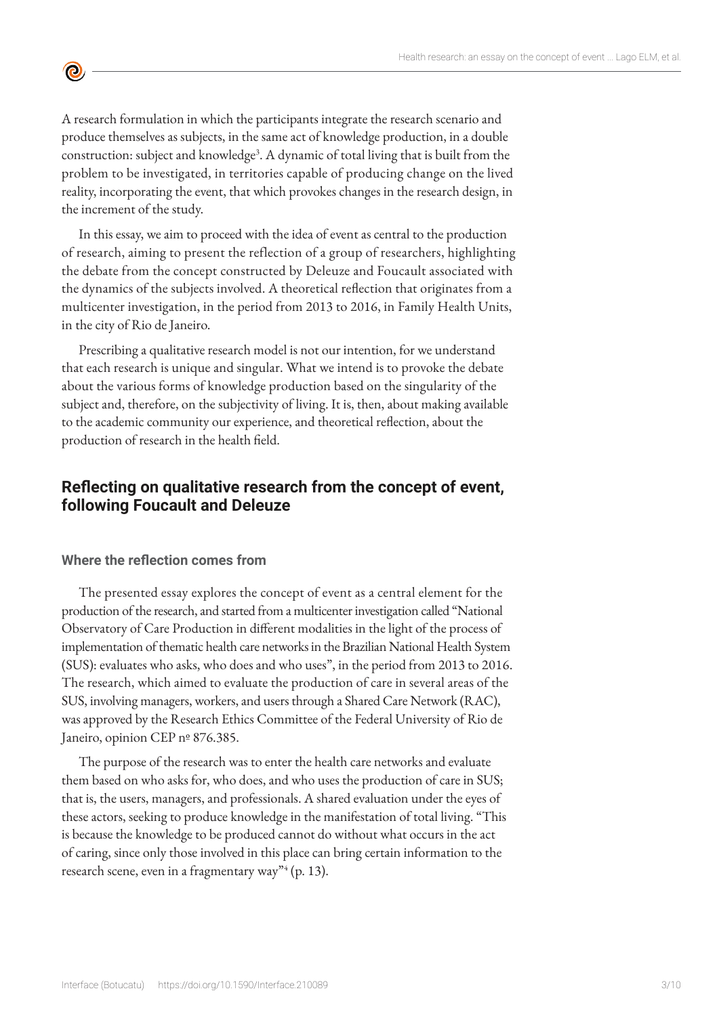A research formulation in which the participants integrate the research scenario and produce themselves as subjects, in the same act of knowledge production, in a double construction: subject and knowledge<sup>3</sup>. A dynamic of total living that is built from the problem to be investigated, in territories capable of producing change on the lived reality, incorporating the event, that which provokes changes in the research design, in the increment of the study.

In this essay, we aim to proceed with the idea of event as central to the production of research, aiming to present the reflection of a group of researchers, highlighting the debate from the concept constructed by Deleuze and Foucault associated with the dynamics of the subjects involved. A theoretical reflection that originates from a multicenter investigation, in the period from 2013 to 2016, in Family Health Units, in the city of Rio de Janeiro.

Prescribing a qualitative research model is not our intention, for we understand that each research is unique and singular. What we intend is to provoke the debate about the various forms of knowledge production based on the singularity of the subject and, therefore, on the subjectivity of living. It is, then, about making available to the academic community our experience, and theoretical reflection, about the production of research in the health field.

## **Reflecting on qualitative research from the concept of event, following Foucault and Deleuze**

### **Where the reflection comes from**

 $\bullet$ 

The presented essay explores the concept of event as a central element for the production of the research, and started from a multicenter investigation called "National Observatory of Care Production in different modalities in the light of the process of implementation of thematic health care networks in the Brazilian National Health System (SUS): evaluates who asks, who does and who uses", in the period from 2013 to 2016. The research, which aimed to evaluate the production of care in several areas of the SUS, involving managers, workers, and users through a Shared Care Network (RAC), was approved by the Research Ethics Committee of the Federal University of Rio de Janeiro, opinion CEP nº 876.385.

The purpose of the research was to enter the health care networks and evaluate them based on who asks for, who does, and who uses the production of care in SUS; that is, the users, managers, and professionals. A shared evaluation under the eyes of these actors, seeking to produce knowledge in the manifestation of total living. "This is because the knowledge to be produced cannot do without what occurs in the act of caring, since only those involved in this place can bring certain information to the research scene, even in a fragmentary way"<sup>4</sup> (p. 13).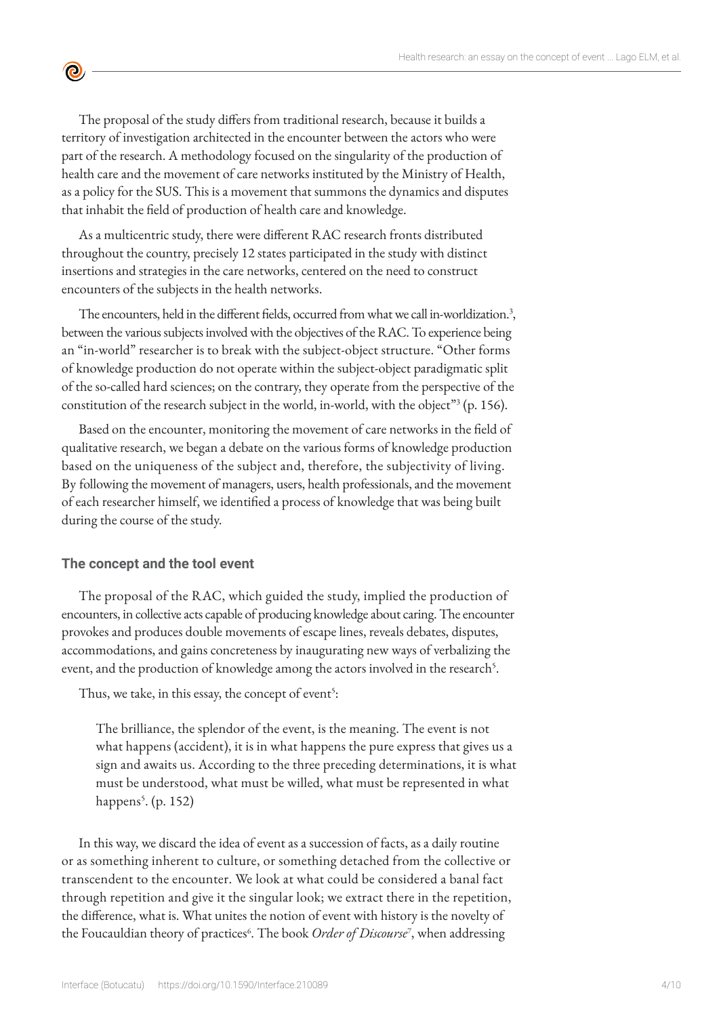The proposal of the study differs from traditional research, because it builds a territory of investigation architected in the encounter between the actors who were part of the research. A methodology focused on the singularity of the production of health care and the movement of care networks instituted by the Ministry of Health, as a policy for the SUS. This is a movement that summons the dynamics and disputes that inhabit the field of production of health care and knowledge.

As a multicentric study, there were different RAC research fronts distributed throughout the country, precisely 12 states participated in the study with distinct insertions and strategies in the care networks, centered on the need to construct encounters of the subjects in the health networks.

The encounters, held in the different fields, occurred from what we call in-worldization.<sup>3</sup>, between the various subjects involved with the objectives of the RAC. To experience being an "in-world" researcher is to break with the subject-object structure. "Other forms of knowledge production do not operate within the subject-object paradigmatic split of the so-called hard sciences; on the contrary, they operate from the perspective of the constitution of the research subject in the world, in-world, with the object"<sup>3</sup> (p. 156).

Based on the encounter, monitoring the movement of care networks in the field of qualitative research, we began a debate on the various forms of knowledge production based on the uniqueness of the subject and, therefore, the subjectivity of living. By following the movement of managers, users, health professionals, and the movement of each researcher himself, we identified a process of knowledge that was being built during the course of the study.

#### **The concept and the tool event**

 $\bullet$ 

The proposal of the RAC, which guided the study, implied the production of encounters, in collective acts capable of producing knowledge about caring. The encounter provokes and produces double movements of escape lines, reveals debates, disputes, accommodations, and gains concreteness by inaugurating new ways of verbalizing the event, and the production of knowledge among the actors involved in the research<sup>5</sup>.

Thus, we take, in this essay, the concept of event<sup>5</sup>:

The brilliance, the splendor of the event, is the meaning. The event is not what happens (accident), it is in what happens the pure express that gives us a sign and awaits us. According to the three preceding determinations, it is what must be understood, what must be willed, what must be represented in what happens<sup>5</sup>. (p. 152)

In this way, we discard the idea of event as a succession of facts, as a daily routine or as something inherent to culture, or something detached from the collective or transcendent to the encounter. We look at what could be considered a banal fact through repetition and give it the singular look; we extract there in the repetition, the difference, what is. What unites the notion of event with history is the novelty of the Foucauldian theory of practices<sup>6</sup>. The book *Order of Discourse*<sup>7</sup>, when addressing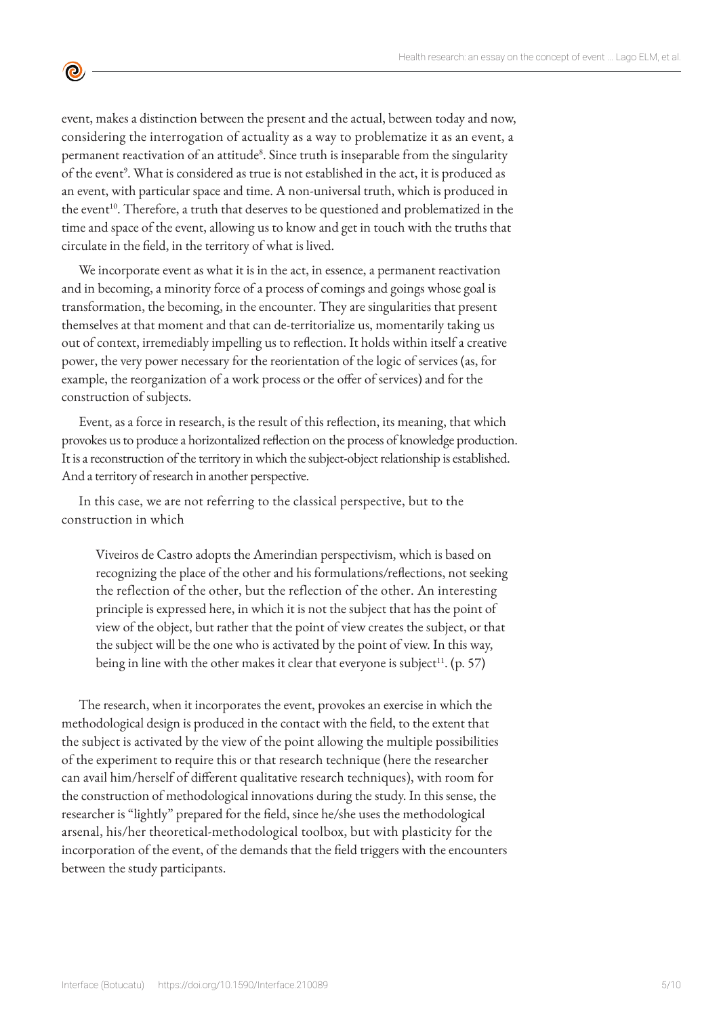event, makes a distinction between the present and the actual, between today and now, considering the interrogation of actuality as a way to problematize it as an event, a permanent reactivation of an attitude<sup>8</sup>. Since truth is inseparable from the singularity of the event<sup>9</sup>. What is considered as true is not established in the act, it is produced as an event, with particular space and time. A non-universal truth, which is produced in the event<sup>10</sup>. Therefore, a truth that deserves to be questioned and problematized in the time and space of the event, allowing us to know and get in touch with the truths that circulate in the field, in the territory of what is lived.

 $\bullet$ 

We incorporate event as what it is in the act, in essence, a permanent reactivation and in becoming, a minority force of a process of comings and goings whose goal is transformation, the becoming, in the encounter. They are singularities that present themselves at that moment and that can de-territorialize us, momentarily taking us out of context, irremediably impelling us to reflection. It holds within itself a creative power, the very power necessary for the reorientation of the logic of services (as, for example, the reorganization of a work process or the offer of services) and for the construction of subjects.

Event, as a force in research, is the result of this reflection, its meaning, that which provokes us to produce a horizontalized reflection on the process of knowledge production. It is a reconstruction of the territory in which the subject-object relationship is established. And a territory of research in another perspective.

In this case, we are not referring to the classical perspective, but to the construction in which

Viveiros de Castro adopts the Amerindian perspectivism, which is based on recognizing the place of the other and his formulations/reflections, not seeking the reflection of the other, but the reflection of the other. An interesting principle is expressed here, in which it is not the subject that has the point of view of the object, but rather that the point of view creates the subject, or that the subject will be the one who is activated by the point of view. In this way, being in line with the other makes it clear that everyone is subject<sup>11</sup>. (p. 57)

The research, when it incorporates the event, provokes an exercise in which the methodological design is produced in the contact with the field, to the extent that the subject is activated by the view of the point allowing the multiple possibilities of the experiment to require this or that research technique (here the researcher can avail him/herself of different qualitative research techniques), with room for the construction of methodological innovations during the study. In this sense, the researcher is "lightly" prepared for the field, since he/she uses the methodological arsenal, his/her theoretical-methodological toolbox, but with plasticity for the incorporation of the event, of the demands that the field triggers with the encounters between the study participants.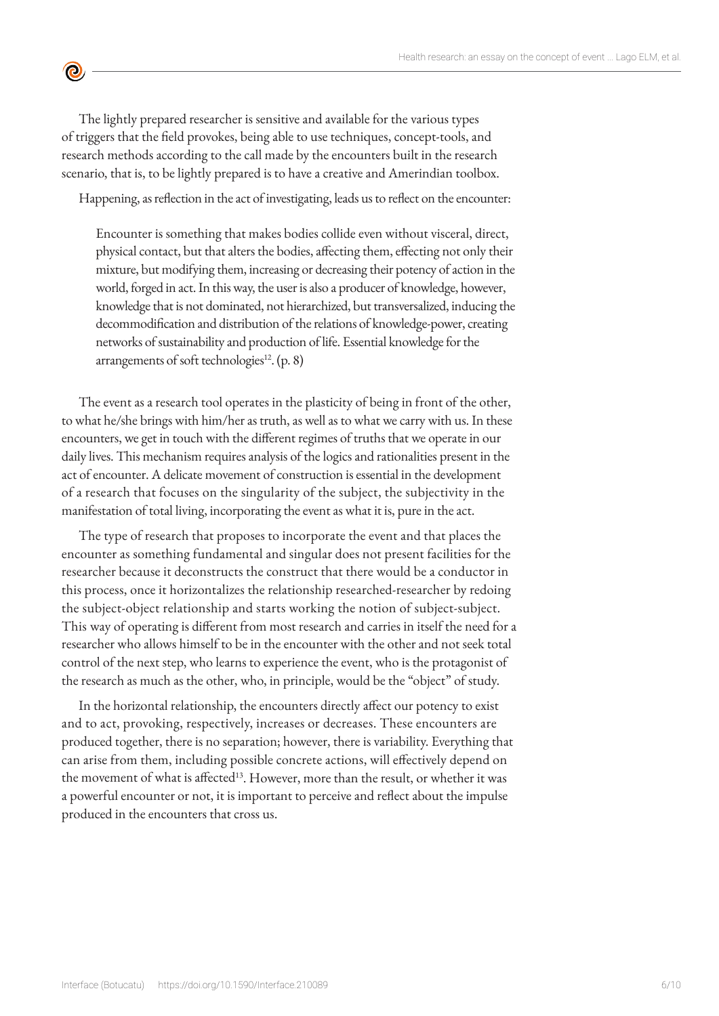The lightly prepared researcher is sensitive and available for the various types of triggers that the field provokes, being able to use techniques, concept-tools, and research methods according to the call made by the encounters built in the research scenario, that is, to be lightly prepared is to have a creative and Amerindian toolbox.

 $\bullet$ 

Happening, as reflection in the act of investigating, leads us to reflect on the encounter:

Encounter is something that makes bodies collide even without visceral, direct, physical contact, but that alters the bodies, affecting them, effecting not only their mixture, but modifying them, increasing or decreasing their potency of action in the world, forged in act. In this way, the user is also a producer of knowledge, however, knowledge that is not dominated, not hierarchized, but transversalized, inducing the decommodification and distribution of the relations of knowledge-power, creating networks of sustainability and production of life. Essential knowledge for the arrangements of soft technologies $^{12}$ . (p. 8)

The event as a research tool operates in the plasticity of being in front of the other, to what he/she brings with him/her as truth, as well as to what we carry with us. In these encounters, we get in touch with the different regimes of truths that we operate in our daily lives. This mechanism requires analysis of the logics and rationalities present in the act of encounter. A delicate movement of construction is essential in the development of a research that focuses on the singularity of the subject, the subjectivity in the manifestation of total living, incorporating the event as what it is, pure in the act.

The type of research that proposes to incorporate the event and that places the encounter as something fundamental and singular does not present facilities for the researcher because it deconstructs the construct that there would be a conductor in this process, once it horizontalizes the relationship researched-researcher by redoing the subject-object relationship and starts working the notion of subject-subject. This way of operating is different from most research and carries in itself the need for a researcher who allows himself to be in the encounter with the other and not seek total control of the next step, who learns to experience the event, who is the protagonist of the research as much as the other, who, in principle, would be the "object" of study.

In the horizontal relationship, the encounters directly affect our potency to exist and to act, provoking, respectively, increases or decreases. These encounters are produced together, there is no separation; however, there is variability. Everything that can arise from them, including possible concrete actions, will effectively depend on the movement of what is affected<sup>13</sup>. However, more than the result, or whether it was a powerful encounter or not, it is important to perceive and reflect about the impulse produced in the encounters that cross us.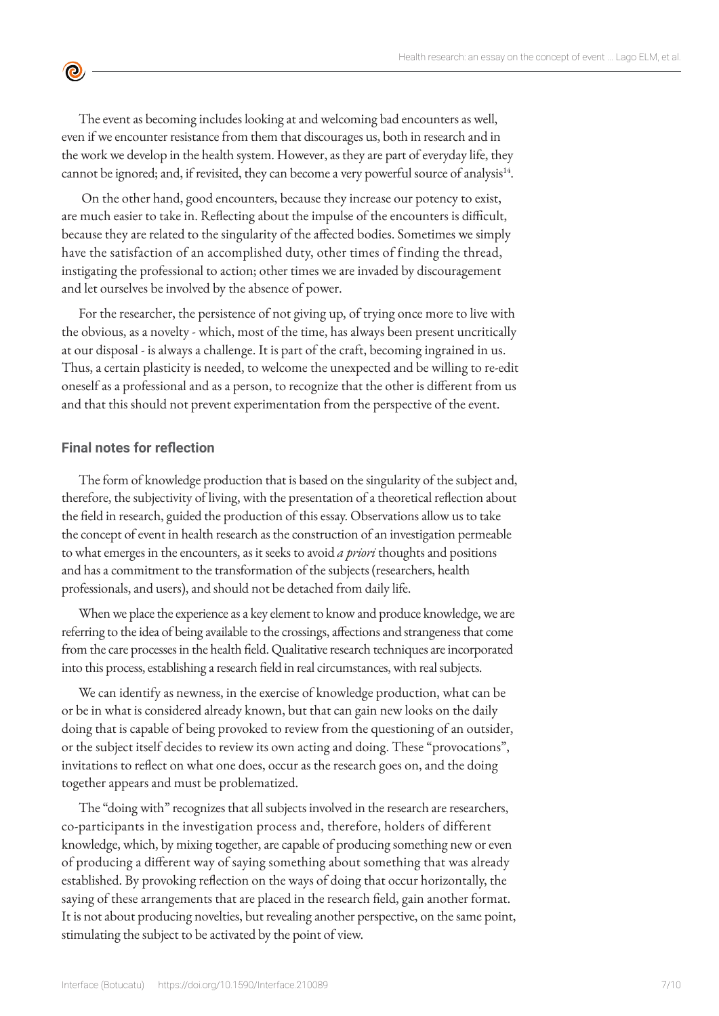The event as becoming includes looking at and welcoming bad encounters as well, even if we encounter resistance from them that discourages us, both in research and in the work we develop in the health system. However, as they are part of everyday life, they cannot be ignored; and, if revisited, they can become a very powerful source of analysis<sup>14</sup>.

 On the other hand, good encounters, because they increase our potency to exist, are much easier to take in. Reflecting about the impulse of the encounters is difficult, because they are related to the singularity of the affected bodies. Sometimes we simply have the satisfaction of an accomplished duty, other times of finding the thread, instigating the professional to action; other times we are invaded by discouragement and let ourselves be involved by the absence of power.

For the researcher, the persistence of not giving up, of trying once more to live with the obvious, as a novelty - which, most of the time, has always been present uncritically at our disposal - is always a challenge. It is part of the craft, becoming ingrained in us. Thus, a certain plasticity is needed, to welcome the unexpected and be willing to re-edit oneself as a professional and as a person, to recognize that the other is different from us and that this should not prevent experimentation from the perspective of the event.

#### **Final notes for reflection**

 $\bullet$ 

The form of knowledge production that is based on the singularity of the subject and, therefore, the subjectivity of living, with the presentation of a theoretical reflection about the field in research, guided the production of this essay. Observations allow us to take the concept of event in health research as the construction of an investigation permeable to what emerges in the encounters, as it seeks to avoid *a priori* thoughts and positions and has a commitment to the transformation of the subjects (researchers, health professionals, and users), and should not be detached from daily life.

When we place the experience as a key element to know and produce knowledge, we are referring to the idea of being available to the crossings, affections and strangeness that come from the care processes in the health field. Qualitative research techniques are incorporated into this process, establishing a research field in real circumstances, with real subjects.

We can identify as newness, in the exercise of knowledge production, what can be or be in what is considered already known, but that can gain new looks on the daily doing that is capable of being provoked to review from the questioning of an outsider, or the subject itself decides to review its own acting and doing. These "provocations", invitations to reflect on what one does, occur as the research goes on, and the doing together appears and must be problematized.

The "doing with" recognizes that all subjects involved in the research are researchers, co-participants in the investigation process and, therefore, holders of different knowledge, which, by mixing together, are capable of producing something new or even of producing a different way of saying something about something that was already established. By provoking reflection on the ways of doing that occur horizontally, the saying of these arrangements that are placed in the research field, gain another format. It is not about producing novelties, but revealing another perspective, on the same point, stimulating the subject to be activated by the point of view.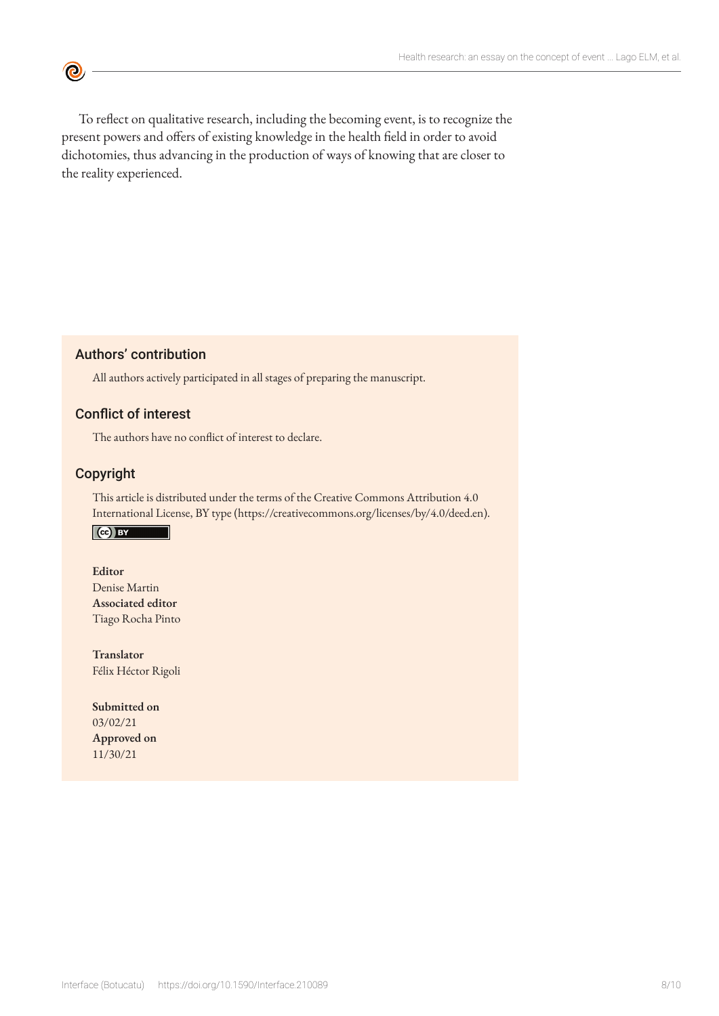To reflect on qualitative research, including the becoming event, is to recognize the present powers and offers of existing knowledge in the health field in order to avoid dichotomies, thus advancing in the production of ways of knowing that are closer to the reality experienced.

### Authors' contribution

All authors actively participated in all stages of preparing the manuscript.

#### Conflict of interest

The authors have no conflict of interest to declare.

#### Copyright

 $\bullet$ 

This article is distributed under the terms of the Creative Commons Attribution 4.0 International License, BY type (https://creativecommons.org/licenses/by/4.0/deed.en).

## $\left($ ce) BY

#### **Editor**

Denise Martin **Associated editor** Tiago Rocha Pinto

**Translator** Félix Héctor Rigoli

**Submitted on** 03/02/21 **Approved on** 11/30/21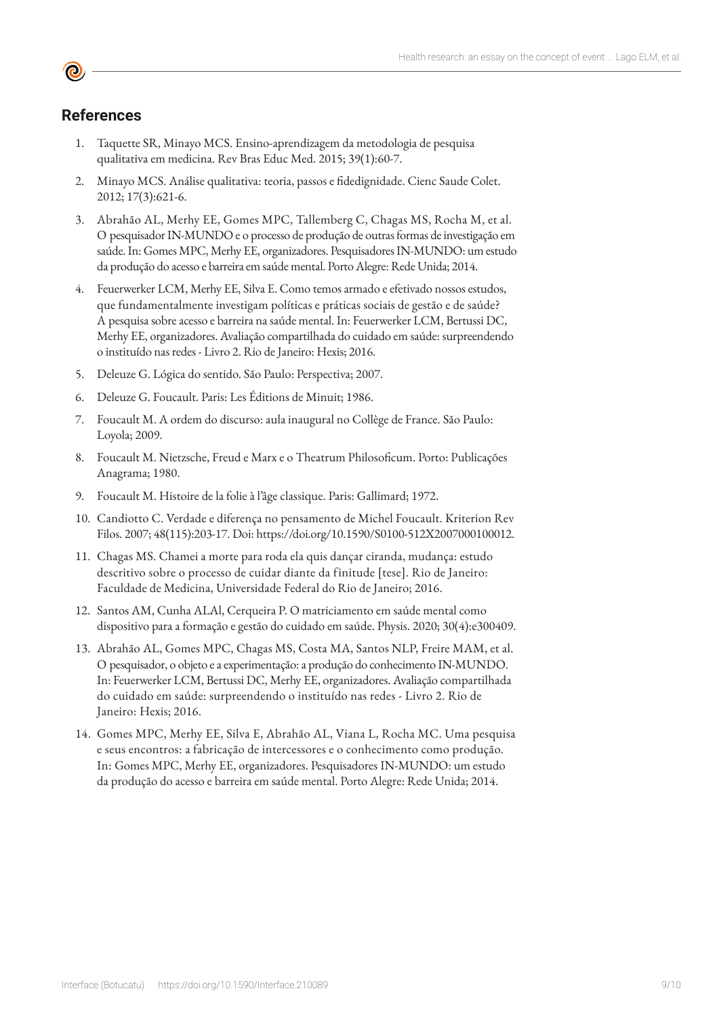## **References**

- 1. Taquette SR, Minayo MCS. Ensino-aprendizagem da metodologia de pesquisa qualitativa em medicina. Rev Bras Educ Med. 2015; 39(1):60-7.
- 2. Minayo MCS. Análise qualitativa: teoria, passos e fidedignidade. Cienc Saude Colet. 2012; 17(3):621-6.
- 3. Abrahão AL, Merhy EE, Gomes MPC, Tallemberg C, Chagas MS, Rocha M, et al. O pesquisador IN-MUNDO e o processo de produção de outras formas de investigação em saúde. In: Gomes MPC, Merhy EE, organizadores. Pesquisadores IN-MUNDO: um estudo da produção do acesso e barreira em saúde mental. Porto Alegre: Rede Unida; 2014.
- 4. Feuerwerker LCM, Merhy EE, Silva E. Como temos armado e efetivado nossos estudos, que fundamentalmente investigam políticas e práticas sociais de gestão e de saúde? A pesquisa sobre acesso e barreira na saúde mental. In: Feuerwerker LCM, Bertussi DC, Merhy EE, organizadores. Avaliação compartilhada do cuidado em saúde: surpreendendo o instituído nas redes - Livro 2. Rio de Janeiro: Hexis; 2016.
- 5. Deleuze G. Lógica do sentido. São Paulo: Perspectiva; 2007.
- 6. Deleuze G. Foucault. Paris: Les Éditions de Minuit; 1986.
- 7. Foucault M. A ordem do discurso: aula inaugural no Collège de France. São Paulo: Loyola; 2009.
- 8. Foucault M. Nietzsche, Freud e Marx e o Theatrum Philosoficum. Porto: Publicações Anagrama; 1980.
- 9. Foucault M. Histoire de la folie à l'âge classique. Paris: Gallimard; 1972.
- 10. Candiotto C. Verdade e diferença no pensamento de Michel Foucault. Kriterion Rev Filos. 2007; 48(115):203-17. Doi: https://doi.org/10.1590/S0100-512X2007000100012.
- 11. Chagas MS. Chamei a morte para roda ela quis dançar ciranda, mudança: estudo descritivo sobre o processo de cuidar diante da finitude [tese]. Rio de Janeiro: Faculdade de Medicina, Universidade Federal do Rio de Janeiro; 2016.
- 12. Santos AM, Cunha ALAl, Cerqueira P. O matriciamento em saúde mental como dispositivo para a formação e gestão do cuidado em saúde. Physis. 2020; 30(4):e300409.
- 13. Abrahão AL, Gomes MPC, Chagas MS, Costa MA, Santos NLP, Freire MAM, et al. O pesquisador, o objeto e a experimentação: a produção do conhecimento IN-MUNDO. In: Feuerwerker LCM, Bertussi DC, Merhy EE, organizadores. Avaliação compartilhada do cuidado em saúde: surpreendendo o instituído nas redes - Livro 2. Rio de Janeiro: Hexis; 2016.
- 14. Gomes MPC, Merhy EE, Silva E, Abrahão AL, Viana L, Rocha MC. Uma pesquisa e seus encontros: a fabricação de intercessores e o conhecimento como produção. In: Gomes MPC, Merhy EE, organizadores. Pesquisadores IN-MUNDO: um estudo da produção do acesso e barreira em saúde mental. Porto Alegre: Rede Unida; 2014.